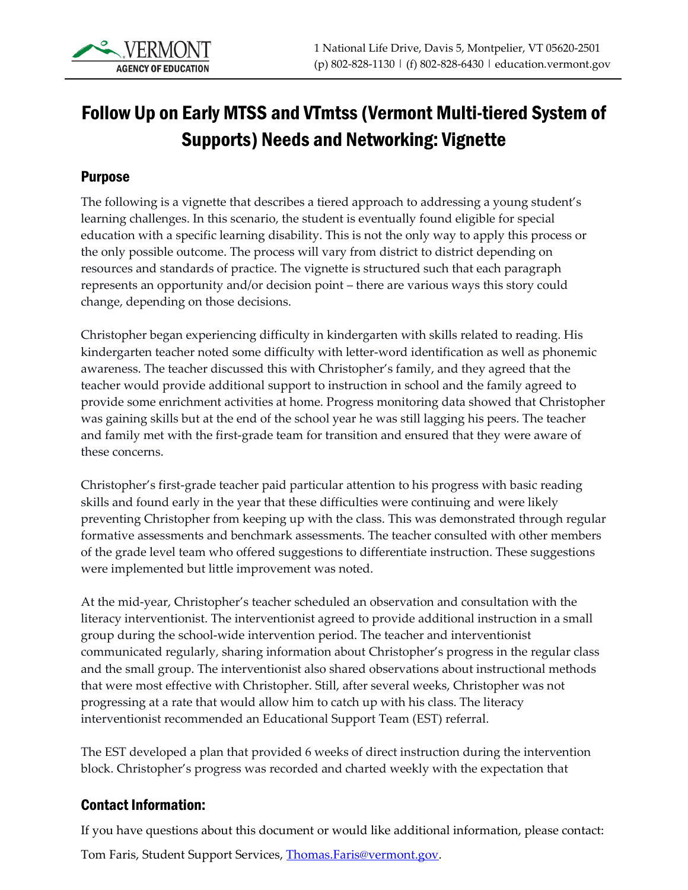

## Follow Up on Early MTSS and VTmtss (Vermont Multi-tiered System of Supports) Needs and Networking: Vignette

## Purpose

The following is a vignette that describes a tiered approach to addressing a young student's learning challenges. In this scenario, the student is eventually found eligible for special education with a specific learning disability. This is not the only way to apply this process or the only possible outcome. The process will vary from district to district depending on resources and standards of practice. The vignette is structured such that each paragraph represents an opportunity and/or decision point – there are various ways this story could change, depending on those decisions.

Christopher began experiencing difficulty in kindergarten with skills related to reading. His kindergarten teacher noted some difficulty with letter-word identification as well as phonemic awareness. The teacher discussed this with Christopher's family, and they agreed that the teacher would provide additional support to instruction in school and the family agreed to provide some enrichment activities at home. Progress monitoring data showed that Christopher was gaining skills but at the end of the school year he was still lagging his peers. The teacher and family met with the first-grade team for transition and ensured that they were aware of these concerns.

Christopher's first-grade teacher paid particular attention to his progress with basic reading skills and found early in the year that these difficulties were continuing and were likely preventing Christopher from keeping up with the class. This was demonstrated through regular formative assessments and benchmark assessments. The teacher consulted with other members of the grade level team who offered suggestions to differentiate instruction. These suggestions were implemented but little improvement was noted.

At the mid-year, Christopher's teacher scheduled an observation and consultation with the literacy interventionist. The interventionist agreed to provide additional instruction in a small group during the school-wide intervention period. The teacher and interventionist communicated regularly, sharing information about Christopher's progress in the regular class and the small group. The interventionist also shared observations about instructional methods that were most effective with Christopher. Still, after several weeks, Christopher was not progressing at a rate that would allow him to catch up with his class. The literacy interventionist recommended an Educational Support Team (EST) referral.

The EST developed a plan that provided 6 weeks of direct instruction during the intervention block. Christopher's progress was recorded and charted weekly with the expectation that

## Contact Information:

If you have questions about this document or would like additional information, please contact:

Tom Faris, Student Support Services, [Thomas.Faris@vermont.gov.](mailto:Thomas.Faris@vermont.gov)